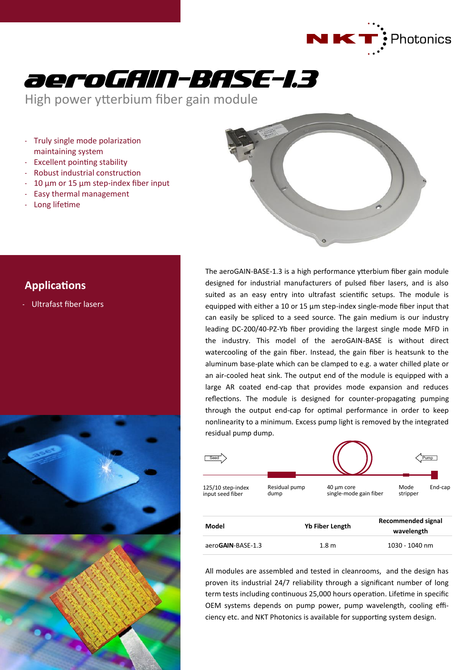



High power ytterbium fiber gain module

- Truly single mode polarization maintaining system
- Excellent pointing stability
- Robust industrial construction
- $10 \mu m$  or  $15 \mu m$  step-index fiber input
- Easy thermal management
- Long lifetime



## **Applications**

- Ultrafast fiber lasers



The aeroGAIN-BASE-1.3 is a high performance ytterbium fiber gain module designed for industrial manufacturers of pulsed fiber lasers, and is also suited as an easy entry into ultrafast scientific setups. The module is equipped with either a 10 or 15 µm step-index single-mode fiber input that can easily be spliced to a seed source. The gain medium is our industry leading DC-200/40-PZ-Yb fiber providing the largest single mode MFD in the industry. This model of the aeroGAIN-BASE is without direct watercooling of the gain fiber. Instead, the gain fiber is heatsunk to the aluminum base-plate which can be clamped to e.g. a water chilled plate or an air-cooled heat sink. The output end of the module is equipped with a large AR coated end-cap that provides mode expansion and reduces reflections. The module is designed for counter-propagating pumping through the output end-cap for optimal performance in order to keep nonlinearity to a minimum. Excess pump light is removed by the integrated residual pump dump.



| ivioaei           | <b>YD FIDET LENGTN</b> | wavelength     |
|-------------------|------------------------|----------------|
| aeroGAIN-BASE-1.3 | 1.8 <sub>m</sub>       | 1030 - 1040 nm |

All modules are assembled and tested in cleanrooms, and the design has proven its industrial 24/7 reliability through a significant number of long term tests including continuous 25,000 hours operation. Lifetime in specific OEM systems depends on pump power, pump wavelength, cooling efficiency etc. and NKT Photonics is available for supporting system design.